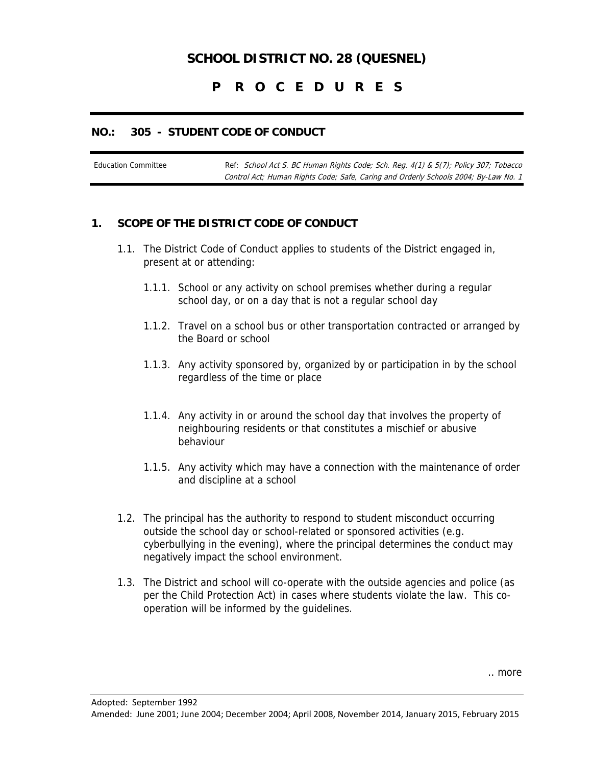# **SCHOOL DISTRICT NO. 28 (QUESNEL)**

## **P R O C E D U R E S**

#### **NO.: 305 - STUDENT CODE OF CONDUCT**

Education Committee Ref: School Act S. BC Human Rights Code; Sch. Reg. 4(1) & 5(7); Policy 307; Tobacco Control Act; Human Rights Code; Safe, Caring and Orderly Schools 2004; By-Law No. 1

#### **1. SCOPE OF THE DISTRICT CODE OF CONDUCT**

- 1.1. The District Code of Conduct applies to students of the District engaged in, present at or attending:
	- 1.1.1. School or any activity on school premises whether during a regular school day, or on a day that is not a regular school day
	- 1.1.2. Travel on a school bus or other transportation contracted or arranged by the Board or school
	- 1.1.3. Any activity sponsored by, organized by or participation in by the school regardless of the time or place
	- 1.1.4. Any activity in or around the school day that involves the property of neighbouring residents or that constitutes a mischief or abusive behaviour
	- 1.1.5. Any activity which may have a connection with the maintenance of order and discipline at a school
- 1.2. The principal has the authority to respond to student misconduct occurring outside the school day or school-related or sponsored activities (e.g. cyberbullying in the evening), where the principal determines the conduct may negatively impact the school environment.
- 1.3. The District and school will co-operate with the outside agencies and police (as per the Child Protection Act) in cases where students violate the law. This cooperation will be informed by the guidelines.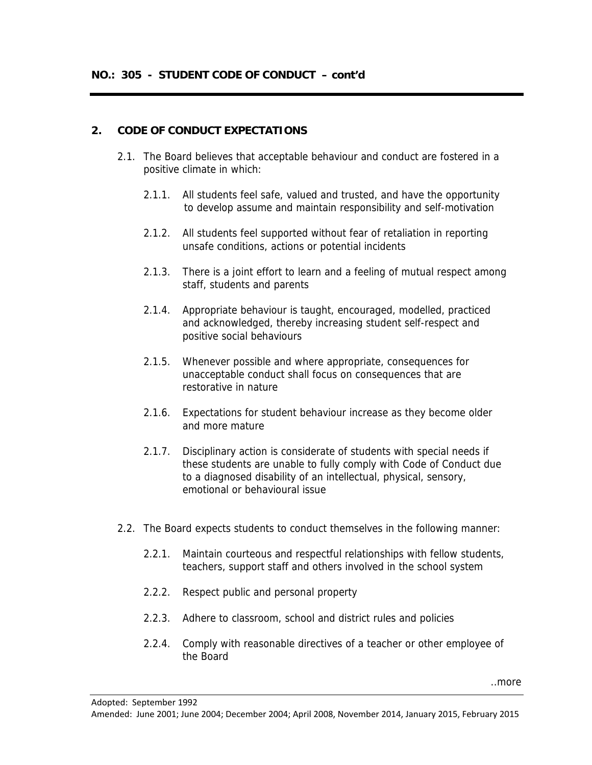### **2. CODE OF CONDUCT EXPECTATIONS**

- 2.1. The Board believes that acceptable behaviour and conduct are fostered in a positive climate in which:
	- 2.1.1. All students feel safe, valued and trusted, and have the opportunity to develop assume and maintain responsibility and self-motivation
	- 2.1.2. All students feel supported without fear of retaliation in reporting unsafe conditions, actions or potential incidents
	- 2.1.3. There is a joint effort to learn and a feeling of mutual respect among staff, students and parents
	- 2.1.4. Appropriate behaviour is taught, encouraged, modelled, practiced and acknowledged, thereby increasing student self-respect and positive social behaviours
	- 2.1.5. Whenever possible and where appropriate, consequences for unacceptable conduct shall focus on consequences that are restorative in nature
	- 2.1.6. Expectations for student behaviour increase as they become older and more mature
	- 2.1.7. Disciplinary action is considerate of students with special needs if these students are unable to fully comply with Code of Conduct due to a diagnosed disability of an intellectual, physical, sensory, emotional or behavioural issue
- 2.2. The Board expects students to conduct themselves in the following manner:
	- 2.2.1. Maintain courteous and respectful relationships with fellow students, teachers, support staff and others involved in the school system
	- 2.2.2. Respect public and personal property
	- 2.2.3. Adhere to classroom, school and district rules and policies
	- 2.2.4. Comply with reasonable directives of a teacher or other employee of the Board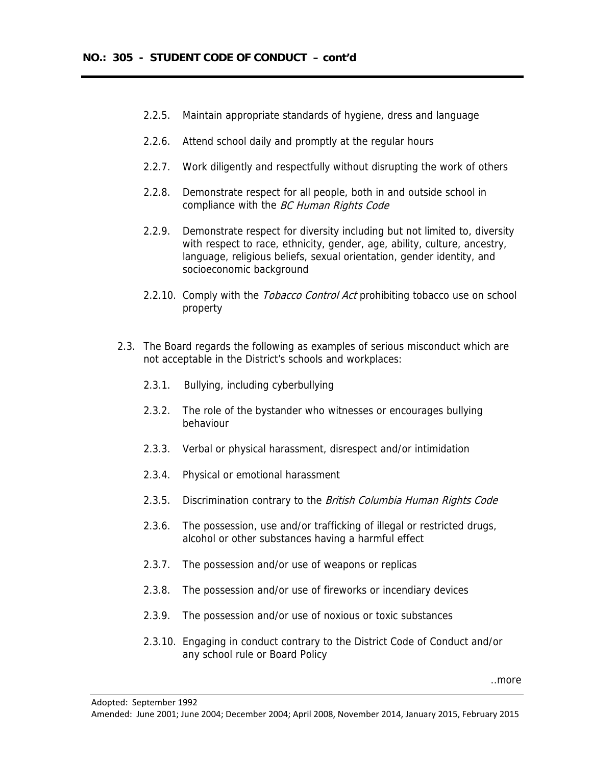- 2.2.5. Maintain appropriate standards of hygiene, dress and language
- 2.2.6. Attend school daily and promptly at the regular hours
- 2.2.7. Work diligently and respectfully without disrupting the work of others
- 2.2.8. Demonstrate respect for all people, both in and outside school in compliance with the BC Human Rights Code
- 2.2.9. Demonstrate respect for diversity including but not limited to, diversity with respect to race, ethnicity, gender, age, ability, culture, ancestry, language, religious beliefs, sexual orientation, gender identity, and socioeconomic background
- 2.2.10. Comply with the *Tobacco Control Act* prohibiting tobacco use on school property
- 2.3. The Board regards the following as examples of serious misconduct which are not acceptable in the District's schools and workplaces:
	- 2.3.1. Bullying, including cyberbullying
	- 2.3.2. The role of the bystander who witnesses or encourages bullying behaviour
	- 2.3.3. Verbal or physical harassment, disrespect and/or intimidation
	- 2.3.4. Physical or emotional harassment
	- 2.3.5. Discrimination contrary to the British Columbia Human Rights Code
	- 2.3.6. The possession, use and/or trafficking of illegal or restricted drugs, alcohol or other substances having a harmful effect
	- 2.3.7. The possession and/or use of weapons or replicas
	- 2.3.8. The possession and/or use of fireworks or incendiary devices
	- 2.3.9. The possession and/or use of noxious or toxic substances
	- 2.3.10. Engaging in conduct contrary to the District Code of Conduct and/or any school rule or Board Policy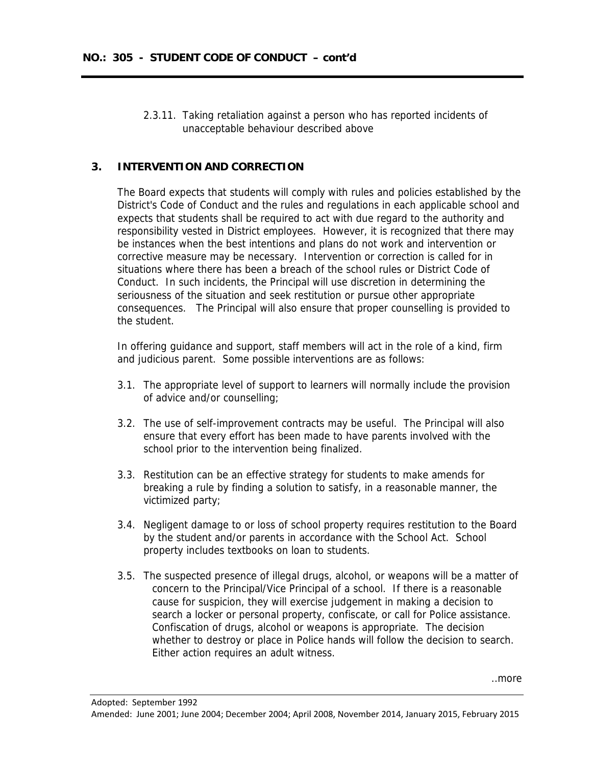2.3.11. Taking retaliation against a person who has reported incidents of unacceptable behaviour described above

### **3. INTERVENTION AND CORRECTION**

The Board expects that students will comply with rules and policies established by the District's Code of Conduct and the rules and regulations in each applicable school and expects that students shall be required to act with due regard to the authority and responsibility vested in District employees. However, it is recognized that there may be instances when the best intentions and plans do not work and intervention or corrective measure may be necessary. Intervention or correction is called for in situations where there has been a breach of the school rules or District Code of Conduct. In such incidents, the Principal will use discretion in determining the seriousness of the situation and seek restitution or pursue other appropriate consequences. The Principal will also ensure that proper counselling is provided to the student.

In offering guidance and support, staff members will act in the role of a kind, firm and judicious parent. Some possible interventions are as follows:

- 3.1. The appropriate level of support to learners will normally include the provision of advice and/or counselling;
- 3.2. The use of self-improvement contracts may be useful. The Principal will also ensure that every effort has been made to have parents involved with the school prior to the intervention being finalized.
- 3.3. Restitution can be an effective strategy for students to make amends for breaking a rule by finding a solution to satisfy, in a reasonable manner, the victimized party;
- 3.4. Negligent damage to or loss of school property requires restitution to the Board by the student and/or parents in accordance with the School Act. School property includes textbooks on loan to students.
- 3.5. The suspected presence of illegal drugs, alcohol, or weapons will be a matter of concern to the Principal/Vice Principal of a school. If there is a reasonable cause for suspicion, they will exercise judgement in making a decision to search a locker or personal property, confiscate, or call for Police assistance. Confiscation of drugs, alcohol or weapons is appropriate. The decision whether to destroy or place in Police hands will follow the decision to search. Either action requires an adult witness.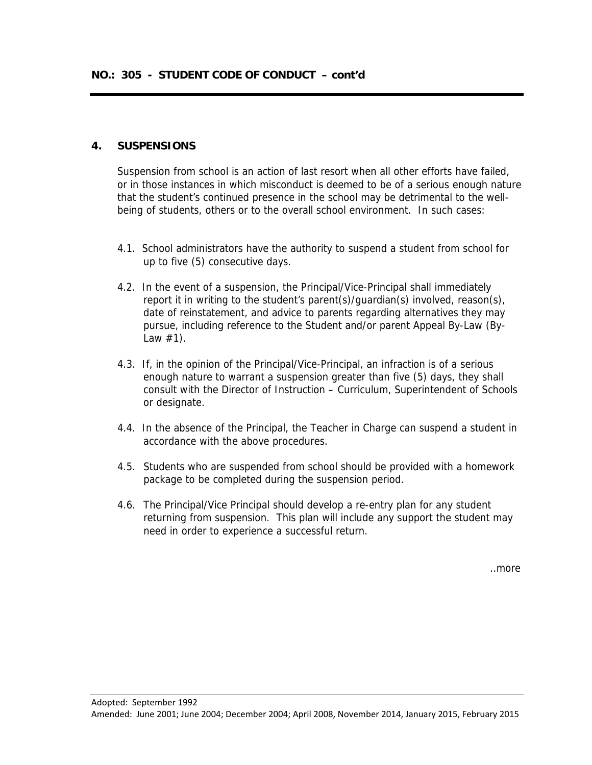#### **4. SUSPENSIONS**

Suspension from school is an action of last resort when all other efforts have failed, or in those instances in which misconduct is deemed to be of a serious enough nature that the student's continued presence in the school may be detrimental to the wellbeing of students, others or to the overall school environment. In such cases:

- 4.1. School administrators have the authority to suspend a student from school for up to five (5) consecutive days.
- 4.2. In the event of a suspension, the Principal/Vice-Principal shall immediately report it in writing to the student's parent(s)/guardian(s) involved, reason(s), date of reinstatement, and advice to parents regarding alternatives they may pursue, including reference to the Student and/or parent Appeal By-Law (By-Law  $#1$ ).
- 4.3. If, in the opinion of the Principal/Vice-Principal, an infraction is of a serious enough nature to warrant a suspension greater than five (5) days, they shall consult with the Director of Instruction – Curriculum, Superintendent of Schools or designate.
- 4.4. In the absence of the Principal, the Teacher in Charge can suspend a student in accordance with the above procedures.
- 4.5. Students who are suspended from school should be provided with a homework package to be completed during the suspension period.
- 4.6. The Principal/Vice Principal should develop a re-entry plan for any student returning from suspension. This plan will include any support the student may need in order to experience a successful return.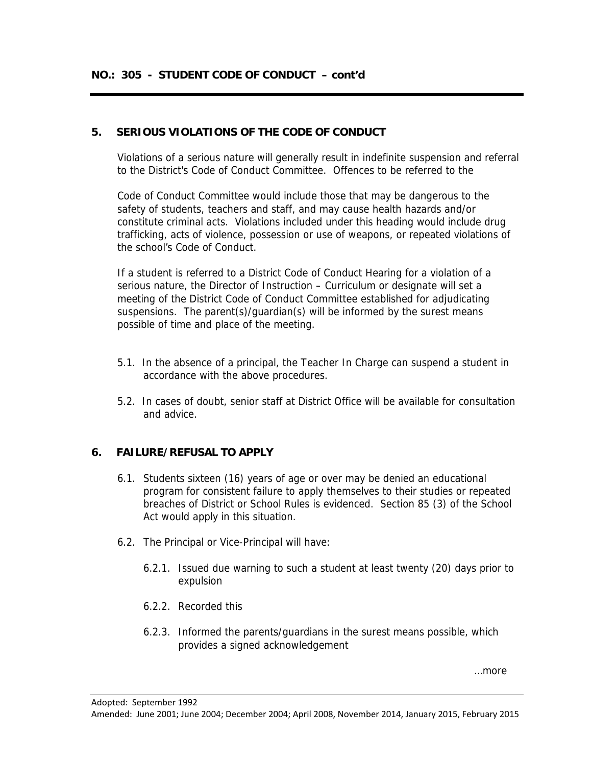## **5. SERIOUS VIOLATIONS OF THE CODE OF CONDUCT**

Violations of a serious nature will generally result in indefinite suspension and referral to the District's Code of Conduct Committee. Offences to be referred to the

Code of Conduct Committee would include those that may be dangerous to the safety of students, teachers and staff, and may cause health hazards and/or constitute criminal acts. Violations included under this heading would include drug trafficking, acts of violence, possession or use of weapons, or repeated violations of the school's Code of Conduct.

If a student is referred to a District Code of Conduct Hearing for a violation of a serious nature, the Director of Instruction – Curriculum or designate will set a meeting of the District Code of Conduct Committee established for adjudicating suspensions. The parent(s)/guardian(s) will be informed by the surest means possible of time and place of the meeting.

- 5.1. In the absence of a principal, the Teacher In Charge can suspend a student in accordance with the above procedures.
- 5.2. In cases of doubt, senior staff at District Office will be available for consultation and advice.

## **6. FAILURE/REFUSAL TO APPLY**

- 6.1. Students sixteen (16) years of age or over may be denied an educational program for consistent failure to apply themselves to their studies or repeated breaches of District or School Rules is evidenced. Section 85 (3) of the School Act would apply in this situation.
- 6.2. The Principal or Vice-Principal will have:
	- 6.2.1. Issued due warning to such a student at least twenty (20) days prior to expulsion
	- 6.2.2. Recorded this
	- 6.2.3. Informed the parents/guardians in the surest means possible, which provides a signed acknowledgement

…more